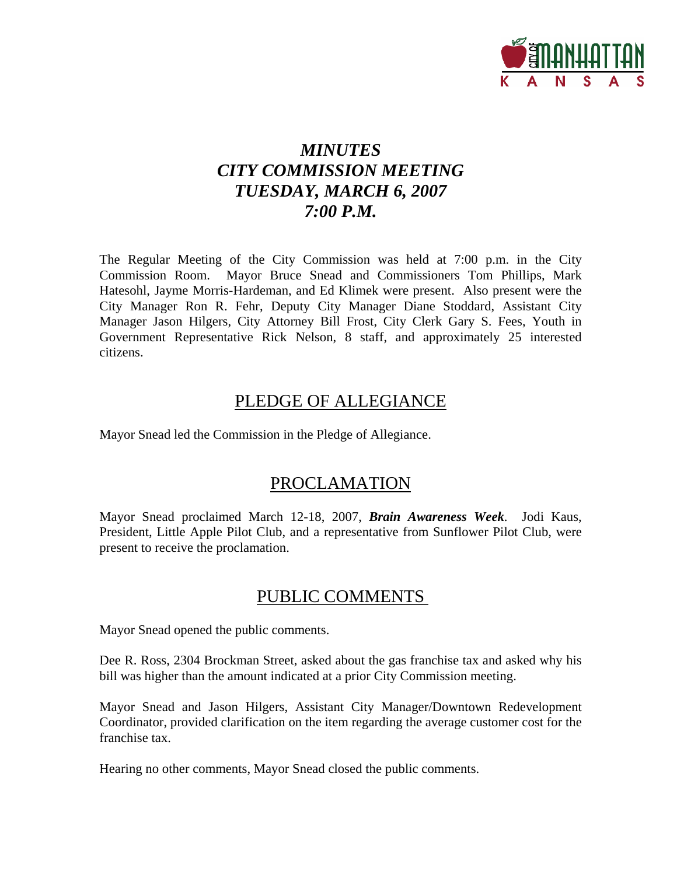

# *MINUTES CITY COMMISSION MEETING TUESDAY, MARCH 6, 2007 7:00 P.M.*

The Regular Meeting of the City Commission was held at 7:00 p.m. in the City Commission Room. Mayor Bruce Snead and Commissioners Tom Phillips, Mark Hatesohl, Jayme Morris-Hardeman, and Ed Klimek were present. Also present were the City Manager Ron R. Fehr, Deputy City Manager Diane Stoddard, Assistant City Manager Jason Hilgers, City Attorney Bill Frost, City Clerk Gary S. Fees, Youth in Government Representative Rick Nelson, 8 staff, and approximately 25 interested citizens.

## PLEDGE OF ALLEGIANCE

Mayor Snead led the Commission in the Pledge of Allegiance.

## PROCLAMATION

Mayor Snead proclaimed March 12-18, 2007, *Brain Awareness Week*. Jodi Kaus, President, Little Apple Pilot Club, and a representative from Sunflower Pilot Club, were present to receive the proclamation.

## PUBLIC COMMENTS

Mayor Snead opened the public comments.

Dee R. Ross, 2304 Brockman Street, asked about the gas franchise tax and asked why his bill was higher than the amount indicated at a prior City Commission meeting.

Mayor Snead and Jason Hilgers, Assistant City Manager/Downtown Redevelopment Coordinator, provided clarification on the item regarding the average customer cost for the franchise tax.

Hearing no other comments, Mayor Snead closed the public comments.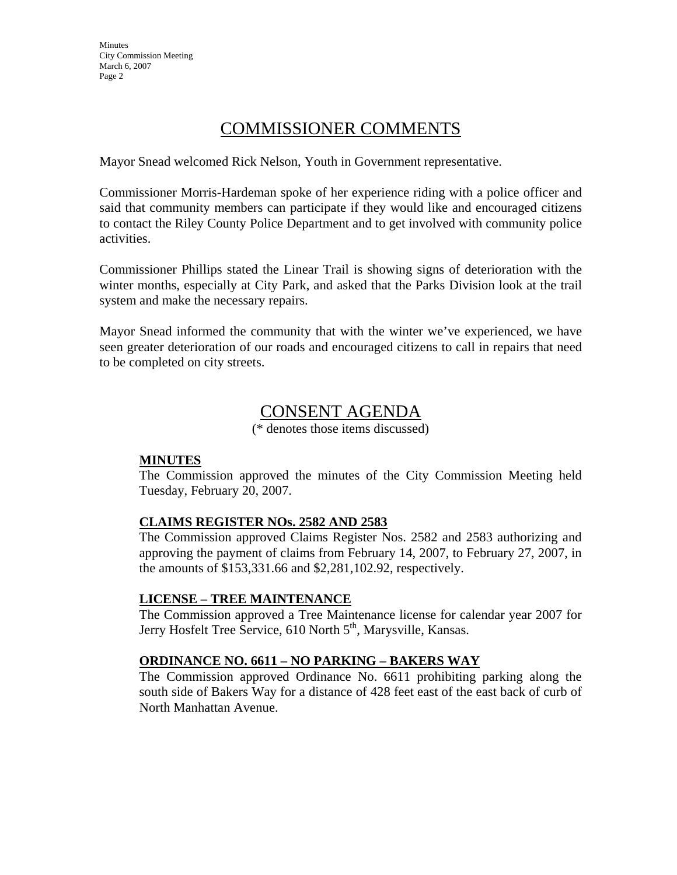**Minutes** City Commission Meeting March 6, 2007 Page 2

## COMMISSIONER COMMENTS

Mayor Snead welcomed Rick Nelson, Youth in Government representative.

Commissioner Morris-Hardeman spoke of her experience riding with a police officer and said that community members can participate if they would like and encouraged citizens to contact the Riley County Police Department and to get involved with community police activities.

Commissioner Phillips stated the Linear Trail is showing signs of deterioration with the winter months, especially at City Park, and asked that the Parks Division look at the trail system and make the necessary repairs.

Mayor Snead informed the community that with the winter we've experienced, we have seen greater deterioration of our roads and encouraged citizens to call in repairs that need to be completed on city streets.

# CONSENT AGENDA

(\* denotes those items discussed)

## **MINUTES**

The Commission approved the minutes of the City Commission Meeting held Tuesday, February 20, 2007.

## **CLAIMS REGISTER NOs. 2582 AND 2583**

The Commission approved Claims Register Nos. 2582 and 2583 authorizing and approving the payment of claims from February 14, 2007, to February 27, 2007, in the amounts of \$153,331.66 and \$2,281,102.92, respectively.

## **LICENSE – TREE MAINTENANCE**

The Commission approved a Tree Maintenance license for calendar year 2007 for Jerry Hosfelt Tree Service, 610 North 5<sup>th</sup>, Marysville, Kansas.

## **ORDINANCE NO. 6611 – NO PARKING – BAKERS WAY**

The Commission approved Ordinance No. 6611 prohibiting parking along the south side of Bakers Way for a distance of 428 feet east of the east back of curb of North Manhattan Avenue.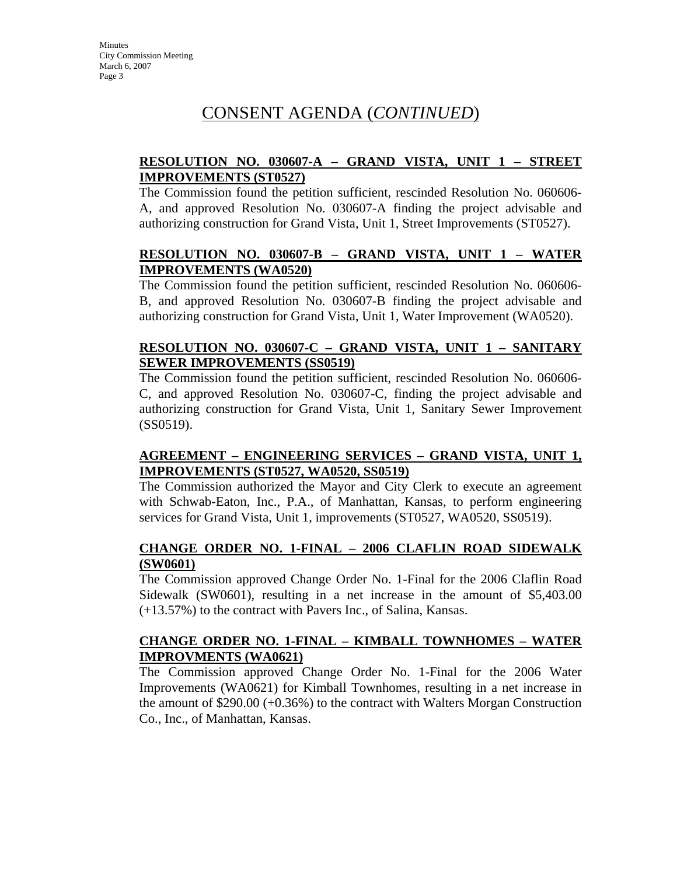## CONSENT AGENDA (*CONTINUED*)

## **RESOLUTION NO. 030607-A – GRAND VISTA, UNIT 1 – STREET IMPROVEMENTS (ST0527)**

The Commission found the petition sufficient, rescinded Resolution No. 060606- A, and approved Resolution No. 030607-A finding the project advisable and authorizing construction for Grand Vista, Unit 1, Street Improvements (ST0527).

## **RESOLUTION NO. 030607-B – GRAND VISTA, UNIT 1 – WATER IMPROVEMENTS (WA0520)**

The Commission found the petition sufficient, rescinded Resolution No. 060606- B, and approved Resolution No. 030607-B finding the project advisable and authorizing construction for Grand Vista, Unit 1, Water Improvement (WA0520).

## **RESOLUTION NO. 030607-C – GRAND VISTA, UNIT 1 – SANITARY SEWER IMPROVEMENTS (SS0519)**

The Commission found the petition sufficient, rescinded Resolution No. 060606- C, and approved Resolution No. 030607-C, finding the project advisable and authorizing construction for Grand Vista, Unit 1, Sanitary Sewer Improvement (SS0519).

## **AGREEMENT – ENGINEERING SERVICES – GRAND VISTA, UNIT 1, IMPROVEMENTS (ST0527, WA0520, SS0519)**

The Commission authorized the Mayor and City Clerk to execute an agreement with Schwab-Eaton, Inc., P.A., of Manhattan, Kansas, to perform engineering services for Grand Vista, Unit 1, improvements (ST0527, WA0520, SS0519).

## **CHANGE ORDER NO. 1-FINAL – 2006 CLAFLIN ROAD SIDEWALK (SW0601)**

The Commission approved Change Order No. 1-Final for the 2006 Claflin Road Sidewalk (SW0601), resulting in a net increase in the amount of \$5,403.00 (+13.57%) to the contract with Pavers Inc., of Salina, Kansas.

## **CHANGE ORDER NO. 1-FINAL – KIMBALL TOWNHOMES – WATER IMPROVMENTS (WA0621)**

The Commission approved Change Order No. 1-Final for the 2006 Water Improvements (WA0621) for Kimball Townhomes, resulting in a net increase in the amount of \$290.00 (+0.36%) to the contract with Walters Morgan Construction Co., Inc., of Manhattan, Kansas.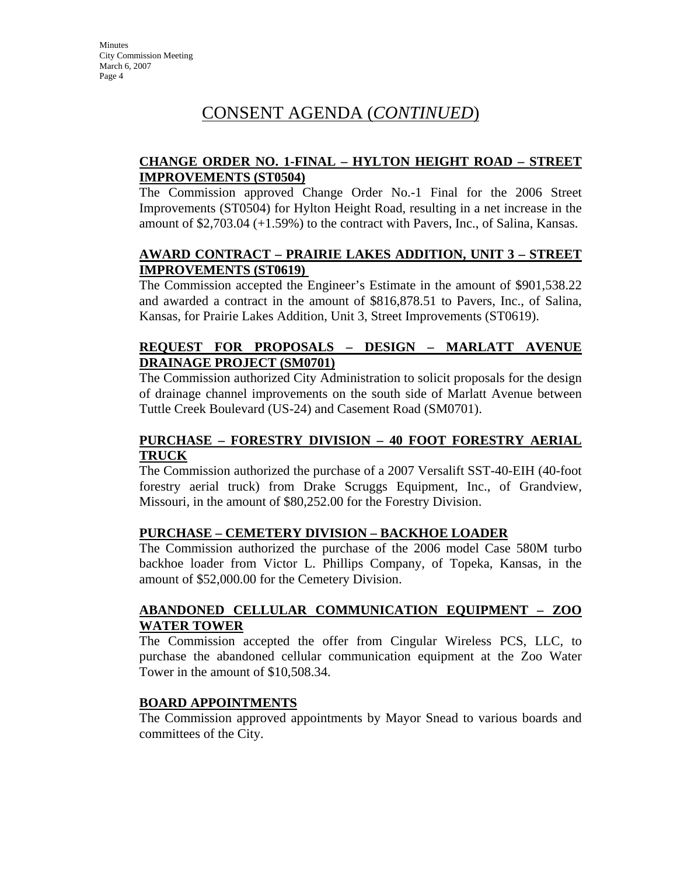**Minutes** City Commission Meeting March 6, 2007 Page 4

## CONSENT AGENDA (*CONTINUED*)

## **CHANGE ORDER NO. 1-FINAL – HYLTON HEIGHT ROAD – STREET IMPROVEMENTS (ST0504)**

The Commission approved Change Order No.-1 Final for the 2006 Street Improvements (ST0504) for Hylton Height Road, resulting in a net increase in the amount of \$2,703.04 (+1.59%) to the contract with Pavers, Inc., of Salina, Kansas.

## **AWARD CONTRACT – PRAIRIE LAKES ADDITION, UNIT 3 – STREET IMPROVEMENTS (ST0619)**

The Commission accepted the Engineer's Estimate in the amount of \$901,538.22 and awarded a contract in the amount of \$816,878.51 to Pavers, Inc., of Salina, Kansas, for Prairie Lakes Addition, Unit 3, Street Improvements (ST0619).

## **REQUEST FOR PROPOSALS – DESIGN – MARLATT AVENUE DRAINAGE PROJECT (SM0701)**

The Commission authorized City Administration to solicit proposals for the design of drainage channel improvements on the south side of Marlatt Avenue between Tuttle Creek Boulevard (US-24) and Casement Road (SM0701).

## **PURCHASE – FORESTRY DIVISION – 40 FOOT FORESTRY AERIAL TRUCK**

The Commission authorized the purchase of a 2007 Versalift SST-40-EIH (40-foot forestry aerial truck) from Drake Scruggs Equipment, Inc., of Grandview, Missouri, in the amount of \$80,252.00 for the Forestry Division.

## **PURCHASE – CEMETERY DIVISION – BACKHOE LOADER**

The Commission authorized the purchase of the 2006 model Case 580M turbo backhoe loader from Victor L. Phillips Company, of Topeka, Kansas, in the amount of \$52,000.00 for the Cemetery Division.

#### **ABANDONED CELLULAR COMMUNICATION EQUIPMENT – ZOO WATER TOWER**

The Commission accepted the offer from Cingular Wireless PCS, LLC, to purchase the abandoned cellular communication equipment at the Zoo Water Tower in the amount of \$10,508.34.

## **BOARD APPOINTMENTS**

The Commission approved appointments by Mayor Snead to various boards and committees of the City.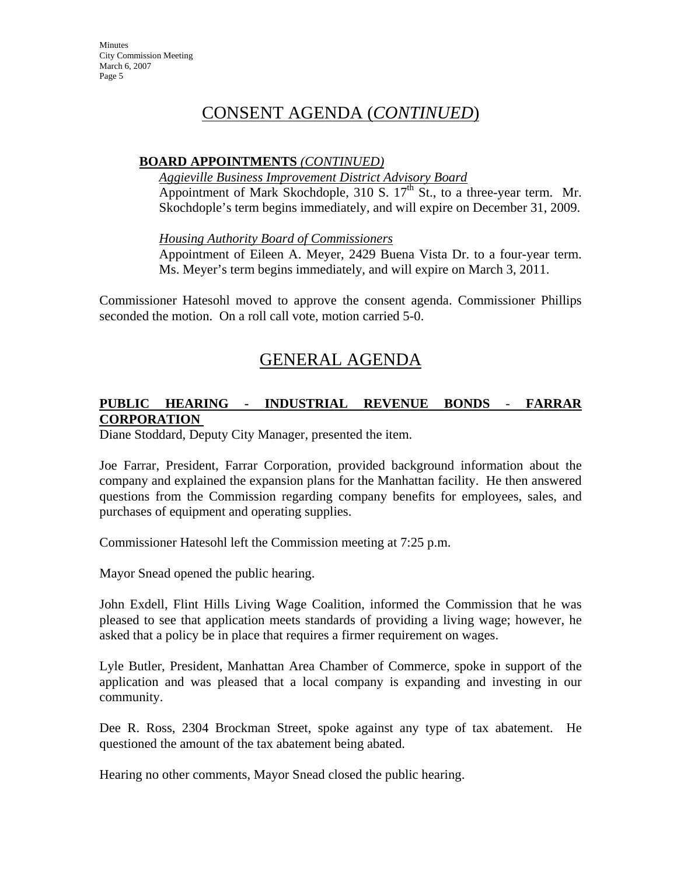**Minutes** City Commission Meeting March 6, 2007 Page 5

## CONSENT AGENDA (*CONTINUED*)

#### **BOARD APPOINTMENTS** *(CONTINUED)*

*Aggieville Business Improvement District Advisory Board*

Appointment of Mark Skochdople, 310 S.  $17<sup>th</sup>$  St., to a three-year term. Mr. Skochdople's term begins immediately, and will expire on December 31, 2009.

*Housing Authority Board of Commissioners*

Appointment of Eileen A. Meyer, 2429 Buena Vista Dr. to a four-year term. Ms. Meyer's term begins immediately, and will expire on March 3, 2011.

Commissioner Hatesohl moved to approve the consent agenda. Commissioner Phillips seconded the motion. On a roll call vote, motion carried 5-0.

## GENERAL AGENDA

## **PUBLIC HEARING - INDUSTRIAL REVENUE BONDS** - **FARRAR CORPORATION**

Diane Stoddard, Deputy City Manager, presented the item.

Joe Farrar, President, Farrar Corporation, provided background information about the company and explained the expansion plans for the Manhattan facility. He then answered questions from the Commission regarding company benefits for employees, sales, and purchases of equipment and operating supplies.

Commissioner Hatesohl left the Commission meeting at 7:25 p.m.

Mayor Snead opened the public hearing.

John Exdell, Flint Hills Living Wage Coalition, informed the Commission that he was pleased to see that application meets standards of providing a living wage; however, he asked that a policy be in place that requires a firmer requirement on wages.

Lyle Butler, President, Manhattan Area Chamber of Commerce, spoke in support of the application and was pleased that a local company is expanding and investing in our community.

Dee R. Ross, 2304 Brockman Street, spoke against any type of tax abatement. He questioned the amount of the tax abatement being abated.

Hearing no other comments, Mayor Snead closed the public hearing.